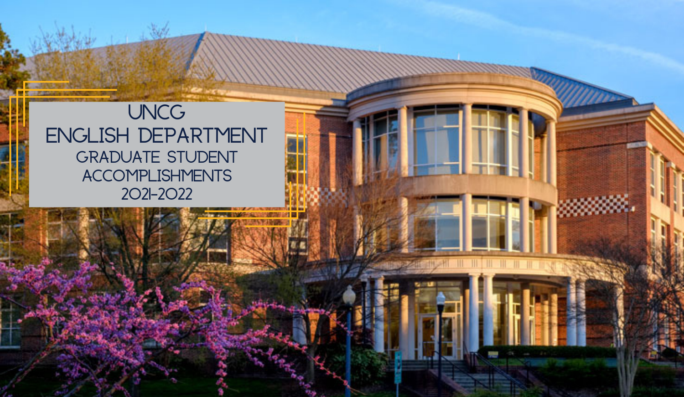# **UNCG English Department Graduate Student Accomplishments 2021-2022**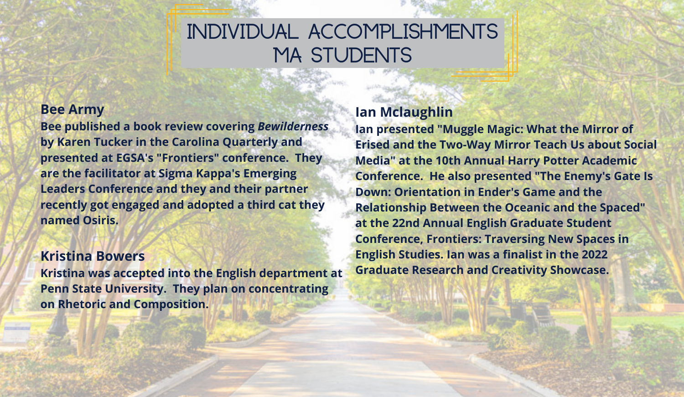# **Individual Accomplishments MA Students**

#### **Bee Army**

**Bee published a book review covering** *Bewilderness* **by Karen Tucker in the Carolina Quarterly and presented at EGSA's "Frontiers" conference. They are the facilitator at Sigma Kappa's Emerging Leaders Conference and they and their partner recently got engaged and adopted a third cat they named Osiris.**

#### **Kristina Bowers**

**Kristina was accepted into the English department at Penn State University. They plan on concentrating on Rhetoric and Composition.** 

# **Ian Mclaughlin**

**Ian presented "Muggle Magic: What the Mirror of Erised and the Two-Way Mirror Teach Us about Social Media" at the 10th Annual Harry Potter Academic Conference. He also presented "The Enemy's Gate Is Down: Orientation in Ender's Game and the Relationship Between the Oceanic and the Spaced" at the 22nd Annual English Graduate Student Conference, Frontiers: Traversing New Spaces in English Studies. Ian was a finalist in the 2022 Graduate Research and Creativity Showcase.**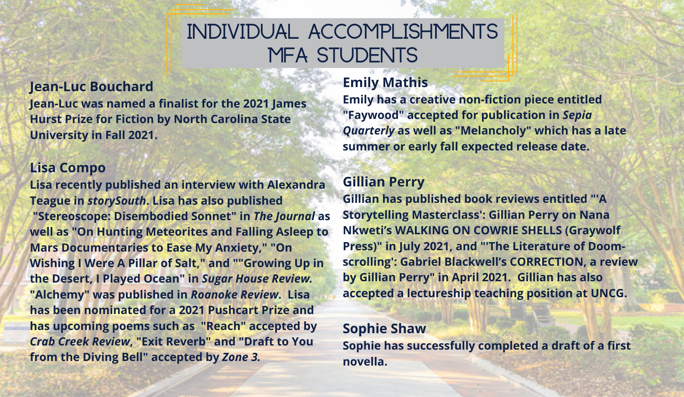# **Individual Accomplishments MfA Students**

**Jean-Luc Bouchard Jean-Luc was named a finalist for the 2021 James Hurst Prize for Fiction by North Carolina State University in Fall 2021.**

#### **Lisa Compo**

**Lisa recently published an interview with Alexandra Teague in** *storySouth***. Lisa has also published "Stereoscope: Disembodied Sonnet" in** *The Journal* **as well as "On Hunting Meteorites and Falling Asleep to Mars Documentaries to Ease My Anxiety," "On Wishing I Were A Pillar of Salt," and ""Growing Up in the Desert, I Played Ocean" in** *Sugar House Review.* **"Alchemy" was published in** *Roanoke Review***. Lisa has been nominated for a 2021 Pushcart Prize and has upcoming poems such as "Reach" accepted by** *Crab Creek Review***, "Exit Reverb" and "Draft to You from the Diving Bell" accepted by** *Zone 3.*

### **Emily Mathis**

**Emily has a creative non-fiction piece entitled "Faywood" accepted for publication in** *Sepia Quarterly* **as well as "Melancholy" which has a late summer or early fall expected release date.** 

## **Gillian Perry**

**Gillian has published book reviews entitled "'A Storytelling Masterclass': Gillian Perry on Nana Nkweti's WALKING ON COWRIE SHELLS (Graywolf Press)" in July 2021, and "'The Literature of Doomscrolling': Gabriel Blackwell's CORRECTION, a review by Gillian Perry" in April 2021. Gillian has also accepted a lectureship teaching position at UNCG.** 

### **Sophie Shaw**

**Sophie has successfully completed a draft of a first novella.**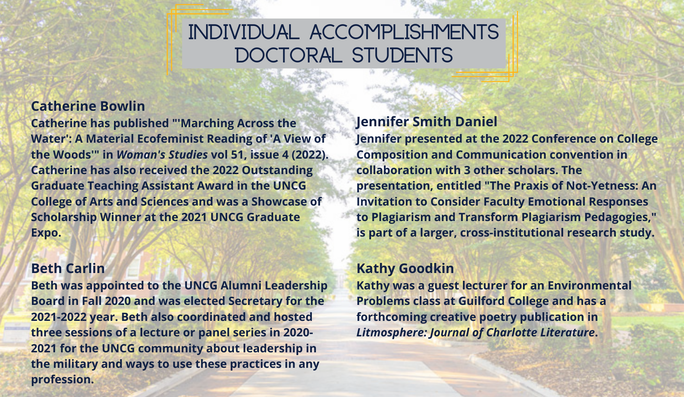# **Individual Accomplishments Doctoral Students**

### **Catherine Bowlin**

**Catherine has published "'Marching Across the Water': A Material Ecofeminist Reading of 'A View of the Woods'" in** *Woman's Studies* **vol 51, issue 4 (2022). Catherine has also received the 2022 Outstanding Graduate Teaching Assistant Award in the UNCG College of Arts and Sciences and was a Showcase of Scholarship Winner at the 2021 UNCG Graduate Expo.** 

## **Beth Carlin**

**Beth was appointed to the UNCG Alumni Leadership Board in Fall 2020 and was elected Secretary for the 2021-2022 year. Beth also coordinated and hosted three sessions of a lecture or panel series in 2020- 2021 for the UNCG community about leadership in the military and ways to use these practices in any profession.**

#### **Jennifer Smith Daniel**

**Jennifer presented at the 2022 Conference on College Composition and Communication convention in collaboration with 3 other scholars. The presentation, entitled "The Praxis of Not-Yetness: An Invitation to Consider Faculty Emotional Responses to Plagiarism and Transform Plagiarism Pedagogies," is part of a larger, cross-institutional research study.**

#### **Kathy Goodkin**

**Kathy was a guest lecturer for an Environmental Problems class at Guilford College and has a forthcoming creative poetry publication in** *Litmosphere: Journal of Charlotte Literature***.**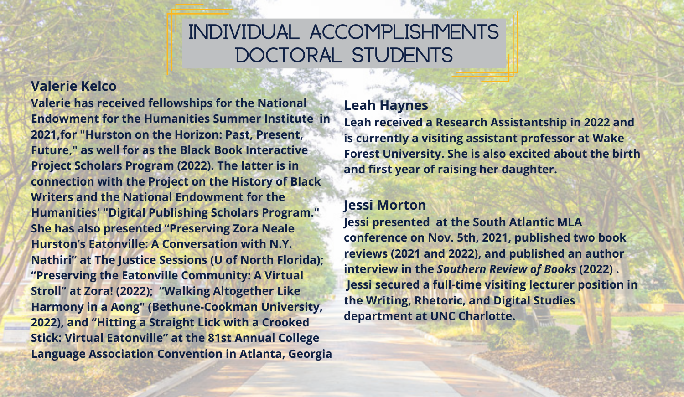# **Individual Accomplishments Doctoral Students**

### **Valerie Kelco**

**Valerie has received fellowships for the National Endowment for the Humanities Summer Institute in 2021,for "Hurston on the Horizon: Past, Present, Future," as well for as the Black Book Interactive Project Scholars Program (2022). The latter is in connection with the Project on the History of Black Writers and the National Endowment for the Humanities' "Digital Publishing Scholars Program." She has also presented "Preserving Zora Neale Hurston's Eatonville: A Conversation with N.Y. Nathiri" at The Justice Sessions (U of North Florida); "Preserving the Eatonville Community: A Virtual Stroll" at Zora! (2022); "Walking Altogether Like Harmony in a Aong" (Bethune-Cookman University, 2022), and "Hitting a Straight Lick with a Crooked Stick: Virtual Eatonville" at the 81st Annual College Language Association Convention in Atlanta, Georgia**

### **Leah Haynes**

**Leah received a Research Assistantship in 2022 and is currently a visiting assistant professor at Wake Forest University. She is also excited about the birth and first year of raising her daughter.**

# **Jessi Morton**

**Jessi presented at the South Atlantic MLA conference on Nov. 5th, 2021, published two book reviews (2021 and 2022), and published an author interview in the** *Southern Review of Books* **(2022) . Jessi secured a full-time visiting lecturer position in the Writing, Rhetoric, and Digital Studies department at UNC Charlotte.**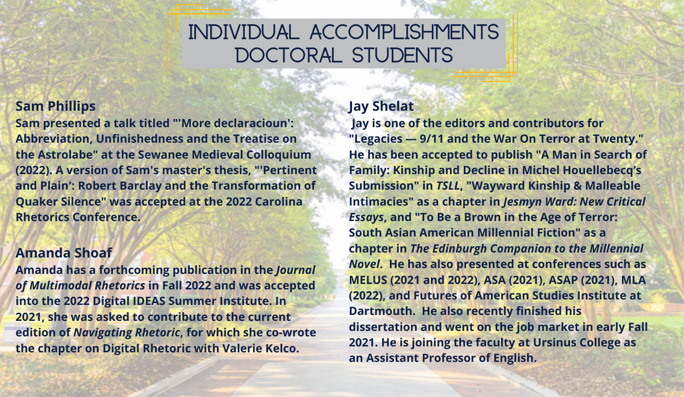# **Individual Accomplishments Doctoral Students**

## **Sam Phillips**

**Sam presented a talk titled "'More declaracioun': Abbreviation, Unfinishedness and the Treatise on the Astrolabe" at the Sewanee Medieval Colloquium (2022). A version of Sam's master's thesis, "'Pertinent and Plain': Robert Barclay and the Transformation of Quaker Silence" was accepted at the 2022 Carolina Rhetorics Conference.**

#### **Amanda Shoaf**

**Amanda has a forthcoming publication in the** *Journal of Multimodal Rhetorics* **in Fall 2022 and was accepted into the 2022 Digital IDEAS Summer Institute. In 2021, she was asked to contribute to the current edition of** *Navigating Rhetoric***, for which she co-wrote the chapter on Digital Rhetoric with Valerie Kelco.**

### **Jay Shelat**

**Jay is one of the editors and contributors for "Legacies — 9/11 and the War On Terror at Twenty." He has been accepted to publish "A Man in Search of Family: Kinship and Decline in Michel Houellebecq's Submission" in** *TSLL***, "Wayward Kinship & Malleable Intimacies" as a chapter in** *Jesmyn Ward: New Critical Essays***, and "To Be a Brown in the Age of Terror: South Asian American Millennial Fiction" as a chapter in** *The Edinburgh Companion to the Millennial Novel***. He has also presented at conferences such as MELUS (2021 and 2022), ASA (2021), ASAP (2021), MLA (2022), and Futures of American Studies Institute at Dartmouth. He also recently finished his dissertation and went on the job market in early Fall 2021. He is joining the faculty at Ursinus College as an Assistant Professor of English.**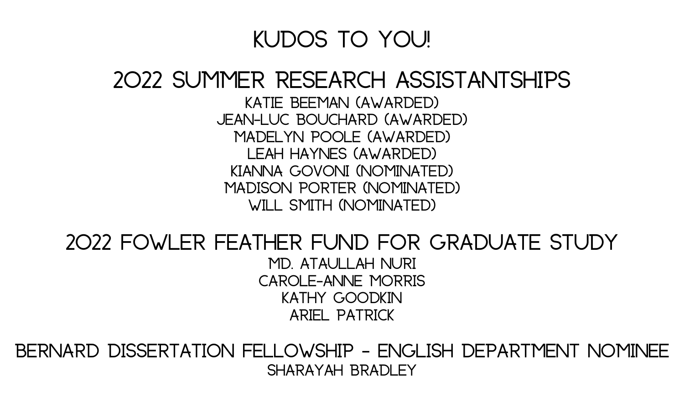# **Kudos to You!**

# **2022 Summer Research Assistantships**

**Katie Beeman (Awarded) Jean-Luc Bouchard (Awarded) Madelyn Poole (Awarded) Leah Haynes (Awarded) Kianna Govoni (Nominated) Madison Porter (Nominated) Will Smith (Nominated)**

# **2022 Fowler Feather Fund for Graduate Study Md. Ataullah Nuri Carole-Anne Morris Kathy Goodkin Ariel Patrick**

**Bernard Dissertation Fellowship - English Department Nominee Sharayah Bradley**